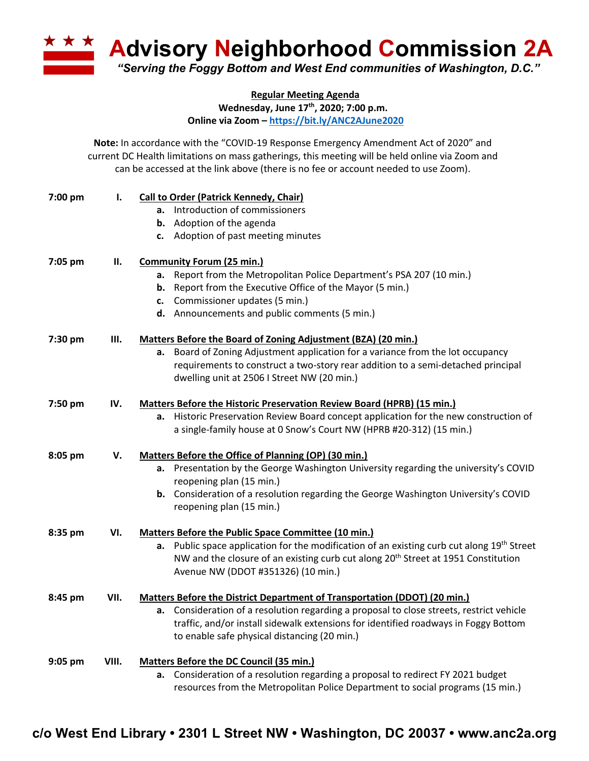**A Advisory Neighborhood Commission 2A** *"Serving the Foggy Bottom and West End communities of Washington, D.C."*

**Regular Meeting Agenda**

**Wednesday, June 17th, 2020; 7:00 p.m.**

**Online via Zoom – https://bit.ly/ANC2AJune2020**

**Note:** In accordance with the "COVID-19 Response Emergency Amendment Act of 2020" and current DC Health limitations on mass gatherings, this meeting will be held online via Zoom and can be accessed at the link above (there is no fee or account needed to use Zoom).

| 7:00 pm | $\mathbf{I}$ . | <b>Call to Order (Patrick Kennedy, Chair)</b><br>Introduction of commissioners<br>a.<br><b>b.</b> Adoption of the agenda<br>c. Adoption of past meeting minutes                                                                                                                                              |
|---------|----------------|--------------------------------------------------------------------------------------------------------------------------------------------------------------------------------------------------------------------------------------------------------------------------------------------------------------|
| 7:05 pm | П.             | <b>Community Forum (25 min.)</b><br>Report from the Metropolitan Police Department's PSA 207 (10 min.)<br>а.<br><b>b.</b> Report from the Executive Office of the Mayor (5 min.)<br>c. Commissioner updates (5 min.)<br>d. Announcements and public comments (5 min.)                                        |
| 7:30 pm | Ш.             | Matters Before the Board of Zoning Adjustment (BZA) (20 min.)<br>a. Board of Zoning Adjustment application for a variance from the lot occupancy<br>requirements to construct a two-story rear addition to a semi-detached principal<br>dwelling unit at 2506 I Street NW (20 min.)                          |
| 7:50 pm | IV.            | <b>Matters Before the Historic Preservation Review Board (HPRB) (15 min.)</b><br>a. Historic Preservation Review Board concept application for the new construction of<br>a single-family house at 0 Snow's Court NW (HPRB #20-312) (15 min.)                                                                |
| 8:05 pm | V.             | Matters Before the Office of Planning (OP) (30 min.)<br>a. Presentation by the George Washington University regarding the university's COVID<br>reopening plan (15 min.)<br><b>b.</b> Consideration of a resolution regarding the George Washington University's COVID<br>reopening plan (15 min.)           |
| 8:35 pm | VI.            | <b>Matters Before the Public Space Committee (10 min.)</b><br><b>a.</b> Public space application for the modification of an existing curb cut along $19th$ Street<br>NW and the closure of an existing curb cut along 20 <sup>th</sup> Street at 1951 Constitution<br>Avenue NW (DDOT #351326) (10 min.)     |
| 8:45 pm | VII.           | Matters Before the District Department of Transportation (DDOT) (20 min.)<br>a. Consideration of a resolution regarding a proposal to close streets, restrict vehicle<br>traffic, and/or install sidewalk extensions for identified roadways in Foggy Bottom<br>to enable safe physical distancing (20 min.) |
| 9:05 pm | VIII.          | <b>Matters Before the DC Council (35 min.)</b><br>a. Consideration of a resolution regarding a proposal to redirect FY 2021 budget<br>resources from the Metropolitan Police Department to social programs (15 min.)                                                                                         |